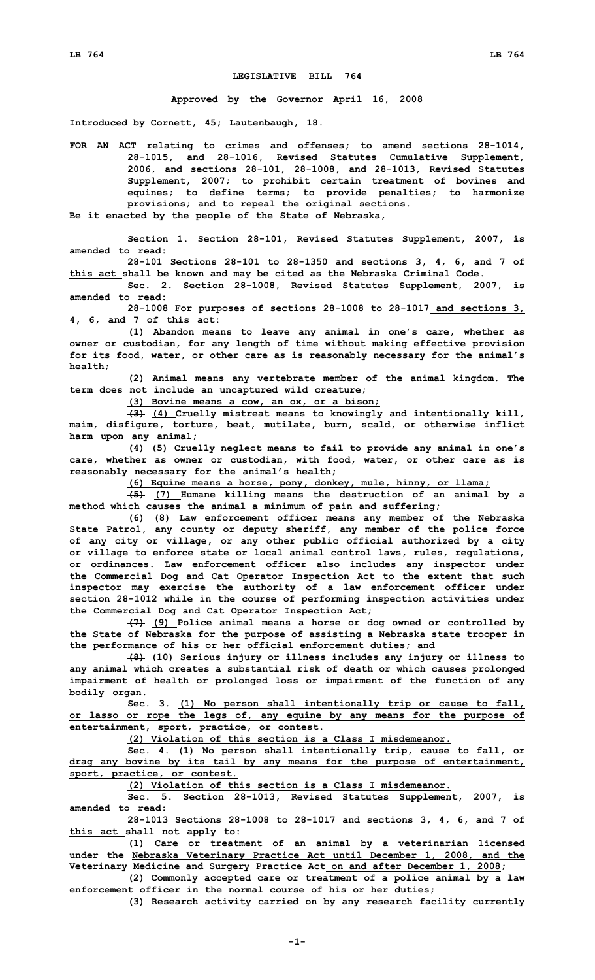## **LEGISLATIVE BILL 764**

**Approved by the Governor April 16, 2008**

**Introduced by Cornett, 45; Lautenbaugh, 18.**

**FOR AN ACT relating to crimes and offenses; to amend sections 28-1014, 28-1015, and 28-1016, Revised Statutes Cumulative Supplement, 2006, and sections 28-101, 28-1008, and 28-1013, Revised Statutes Supplement, 2007; to prohibit certain treatment of bovines and equines; to define terms; to provide penalties; to harmonize provisions; and to repeal the original sections.**

**Be it enacted by the people of the State of Nebraska,**

**Section 1. Section 28-101, Revised Statutes Supplement, 2007, is amended to read:**

**28-101 Sections 28-101 to 28-1350 and sections 3, 4, 6, and 7 of this act shall be known and may be cited as the Nebraska Criminal Code.**

**Sec. 2. Section 28-1008, Revised Statutes Supplement, 2007, is amended to read:**

**28-1008 For purposes of sections 28-1008 to 28-1017 and sections 3, 4, 6, and 7 of this act:**

**(1) Abandon means to leave any animal in one's care, whether as owner or custodian, for any length of time without making effective provision for its food, water, or other care as is reasonably necessary for the animal's health;**

**(2) Animal means any vertebrate member of the animal kingdom. The term does not include an uncaptured wild creature;**

**(3) Bovine means <sup>a</sup> cow, an ox, or <sup>a</sup> bison;**

**(3) (4) Cruelly mistreat means to knowingly and intentionally kill, maim, disfigure, torture, beat, mutilate, burn, scald, or otherwise inflict harm upon any animal;**

**(4) (5) Cruelly neglect means to fail to provide any animal in one's care, whether as owner or custodian, with food, water, or other care as is reasonably necessary for the animal's health;**

**(6) Equine means <sup>a</sup> horse, pony, donkey, mule, hinny, or llama;**

**(5) (7) Humane killing means the destruction of an animal by <sup>a</sup> method which causes the animal <sup>a</sup> minimum of pain and suffering;**

**(6) (8) Law enforcement officer means any member of the Nebraska State Patrol, any county or deputy sheriff, any member of the police force of any city or village, or any other public official authorized by <sup>a</sup> city or village to enforce state or local animal control laws, rules, regulations, or ordinances. Law enforcement officer also includes any inspector under the Commercial Dog and Cat Operator Inspection Act to the extent that such inspector may exercise the authority of <sup>a</sup> law enforcement officer under section 28-1012 while in the course of performing inspection activities under the Commercial Dog and Cat Operator Inspection Act;**

**(7) (9) Police animal means <sup>a</sup> horse or dog owned or controlled by the State of Nebraska for the purpose of assisting <sup>a</sup> Nebraska state trooper in the performance of his or her official enforcement duties; and**

**(8) (10) Serious injury or illness includes any injury or illness to any animal which creates <sup>a</sup> substantial risk of death or which causes prolonged impairment of health or prolonged loss or impairment of the function of any bodily organ.**

**Sec. 3. (1) No person shall intentionally trip or cause to fall, or lasso or rope the legs of, any equine by any means for the purpose of entertainment, sport, practice, or contest.**

**(2) Violation of this section is <sup>a</sup> Class I misdemeanor.**

**Sec. 4. (1) No person shall intentionally trip, cause to fall, or drag any bovine by its tail by any means for the purpose of entertainment, sport, practice, or contest.**

**(2) Violation of this section is <sup>a</sup> Class I misdemeanor.**

**Sec. 5. Section 28-1013, Revised Statutes Supplement, 2007, is amended to read:**

**28-1013 Sections 28-1008 to 28-1017 and sections 3, 4, 6, and 7 of this act shall not apply to:**

**(1) Care or treatment of an animal by <sup>a</sup> veterinarian licensed under the Nebraska Veterinary Practice Act until December 1, 2008, and the Veterinary Medicine and Surgery Practice Act on and after December 1, 2008;**

**(2) Commonly accepted care or treatment of <sup>a</sup> police animal by <sup>a</sup> law enforcement officer in the normal course of his or her duties;**

**(3) Research activity carried on by any research facility currently**